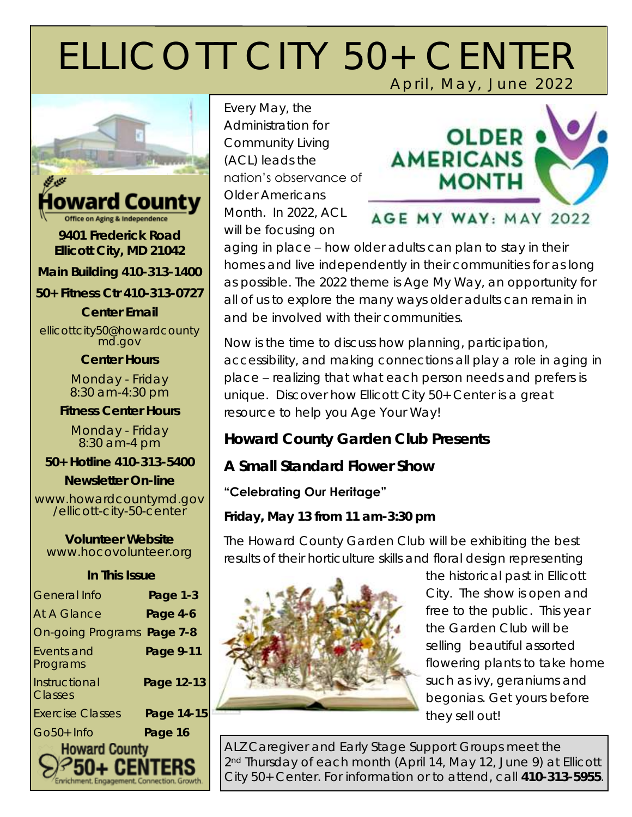# ELLICOTT CITY 50+ CENTER April, May, June 2022



#### Howard County Office on Aging & Independence

**9401 Frederick Road Ellicott City, MD 21042**

**Main Building 410-313-1400** 

**50+ Fitness Ctr 410-313-0727** 

**Center Email** 

ellicottcity50@howardcounty md.gov

**Center Hours**

Monday - Friday 8:30 am-4:30 pm

**Fitness Center Hours**

Monday - Friday 8:30 am-4 pm

**50+ Hotline 410-313-5400** 

**Newsletter On-line**

www.howardcountymd.gov /ellicott-city-50-center

**Volunteer Website**  www.hocovolunteer.org

| In This Issue              |            |  |
|----------------------------|------------|--|
| General Info               | Page 1-3   |  |
| <b>At A Glance</b>         | Page 4-6   |  |
| On-going Programs Page 7-8 |            |  |
| Events and<br>Programs     | Page 9-11  |  |
| Instructional<br>Classes   | Page 12-13 |  |
| <b>Exercise Classes</b>    | Page 14-15 |  |
| $Go50+Info$                | Page 16    |  |
| <b>Howard County</b>       |            |  |

Enrichment. Engagement. Connection. Growth.

Every May, the Administration for Community Living (ACL) leads the nation's observance of Older Americans Month. In 2022, ACL will be focusing on



aging in place – how older adults can plan to stay in their homes and live independently in their communities for as long as possible. The 2022 theme is *Age My Way*, an opportunity for all of us to explore the many ways older adults can remain in and be involved with their communities.

Now is the time to discuss how planning, participation, accessibility, and making connections all play a role in aging in place – realizing that what each person needs and prefers is unique. Discover how Ellicott City 50+ Center is a great resource to help you *Age Your Way*!

**Howard County Garden Club Presents** 

**A Small Standard Flower Show**

#### **"Celebrating Our Heritage"**

**Friday, May 13 from 11 am-3:30 pm**

The Howard County Garden Club will be exhibiting the best results of their horticulture skills and floral design representing



the historical past in Ellicott City. The show is open and free to the public. This year the Garden Club will be selling beautiful assorted flowering plants to take home such as ivy, geraniums and begonias. Get yours before they sell out!

ALZ Caregiver and Early Stage Support Groups meet the 2<sup>nd</sup> Thursday of each month (April 14, May 12, June 9) at Ellicott City 50+ Center. For information or to attend, call **410-313-5955**.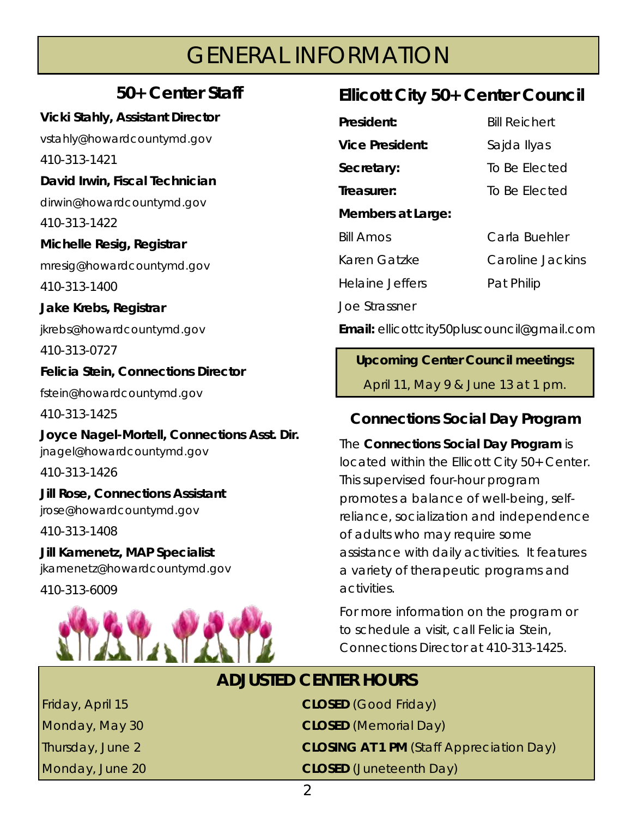# GENERAL INFORMATION

## **50+ Center Staff**

**Vicki Stahly, Assistant Director**  vstahly@howardcountymd.gov 410-313-1421 **David Irwin, Fiscal Technician**  dirwin@howardcountymd.gov 410-313-1422 **Michelle Resig, Registrar** mresig@howardcountymd.gov 410-313-1400 **Jake Krebs, Registrar** jkrebs@howardcountymd.gov 410-313-0727 **Felicia Stein, Connections Director**  fstein@howardcountymd.gov 410-313-1425 **Joyce Nagel-Mortell, Connections Asst. Dir.**  jnagel@howardcountymd.gov 410-313-1426 **Jill Rose, Connections Assistant**  jrose@howardcountymd.gov

410-313-1408

**Jill Kamenetz, MAP Specialist**  jkamenetz@howardcountymd.gov

410-313-6009



## **Ellicott City 50+ Center Council**

| President:        | <b>Bill Reichert</b> |
|-------------------|----------------------|
| Vice President:   | Sajda Ilyas          |
| Secretary:        | To Be Elected        |
| Treasurer:        | To Be Elected        |
| Members at Large: |                      |
| <b>Bill Amos</b>  | Carla Buehler        |
| Karen Gatzke      | Caroline Jackins     |
| Helaine Jeffers   | Pat Philip           |
| Joe Strassner     |                      |
|                   |                      |

**Email:** ellicottcity50pluscouncil@gmail.com

**Upcoming Center Council meetings:**  April 11, May 9 & June 13 at 1 pm.

## **Connections Social Day Program**

The **Connections Social Day Program** is located within the Ellicott City 50+ Center. This supervised four-hour program promotes a balance of well-being, selfreliance, socialization and independence of adults who may require some assistance with daily activities. It features a variety of therapeutic programs and activities.

For more information on the program or to schedule a visit, call Felicia Stein, Connections Director at 410-313-1425.

# **ADJUSTED CENTER HOURS**

| Friday, April 15 | CLOSED (Good Friday)                     |
|------------------|------------------------------------------|
| Monday, May 30   | <b>CLOSED</b> (Memorial Day)             |
| Thursday, June 2 | CLOSING AT 1 PM (Staff Appreciation Day) |
| Monday, June 20  | CLOSED (Juneteenth Day)                  |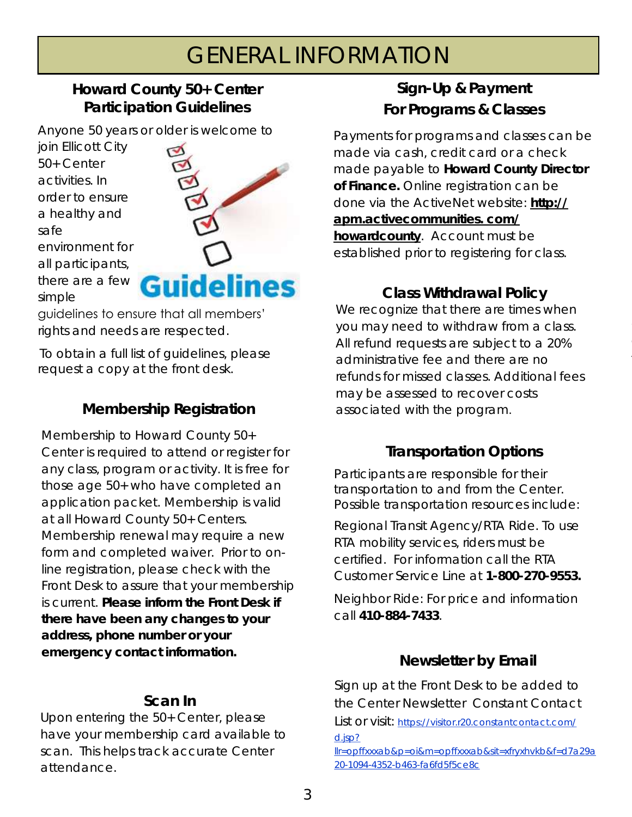# GENERAL INFORMATION

#### **Howard County 50+ Center Participation Guidelines**

Anyone 50 years or older is welcome to

join Ellicott City 50+ Center activities. In order to ensure a healthy and safe environment for all participants, there are a few simple



guidelines to ensure that all members' rights and needs are respected.

To obtain a full list of guidelines, please request a copy at the front desk.

## **Membership Registration**

Membership to Howard County 50+ Center is required to attend or register for any class, program or activity. It is free for those age 50+ who have completed an application packet. Membership is valid at all Howard County 50+ Centers. Membership renewal may require a new form and completed waiver. Prior to online registration, please check with the Front Desk to assure that your membership is current. **Please inform the Front Desk if there have been any changes to your address, phone number or your emergency contact information.** 

#### **Scan In**

Upon entering the 50+ Center, please have your membership card available to scan. This helps track accurate Center attendance.

## **Sign-Up & Payment For Programs & Classes**

Payments for programs and classes can be made via cash, credit card or a check made payable to **Howard County Director of Finance.** Online registration can be done via the ActiveNet website: **[http://](http://apm.activecommunities.com/howardcounty) [apm.activecommunities. com/](http://apm.activecommunities.com/howardcounty) [howardcounty](http://apm.activecommunities.com/howardcounty)**. Account must be established prior to registering for class.

**Class Withdrawal Policy** We recognize that there are times when you may need to withdraw from a class. All refund requests are subject to a 20% administrative fee and there are no refunds for missed classes. Additional fees may be assessed to recover costs associated with the program.

## **Transportation Options**

Participants are responsible for their transportation to and from the Center. Possible transportation resources include:

Regional Transit Agency/RTA Ride. To use RTA mobility services, riders must be certified. For information call the RTA Customer Service Line at **1-800-270-9553.**

Neighbor Ride: For price and information call **410-884-7433**.

## **Newsletter by Email**

Sign up at the Front Desk to be added to the Center Newsletter Constant Contact List or visit: [https://visitor.r20.constantcontact.com/](https://visitor.r20.constantcontact.com/d.jsp?llr=opffxxxab&p=oi&m=opffxxxab&sit=xfryxhvkb&f=d7a29a20-1094-4352-b463-fa6fd5f5ce8c) [d.jsp?](https://visitor.r20.constantcontact.com/d.jsp?llr=opffxxxab&p=oi&m=opffxxxab&sit=xfryxhvkb&f=d7a29a20-1094-4352-b463-fa6fd5f5ce8c)

[llr=opffxxxab&p=oi&m=opffxxxab&sit=xfryxhvkb&f=d7a29a](https://visitor.r20.constantcontact.com/d.jsp?llr=opffxxxab&p=oi&m=opffxxxab&sit=xfryxhvkb&f=d7a29a20-1094-4352-b463-fa6fd5f5ce8c) [20-1094-4352-b463-fa6fd5f5ce8c](https://visitor.r20.constantcontact.com/d.jsp?llr=opffxxxab&p=oi&m=opffxxxab&sit=xfryxhvkb&f=d7a29a20-1094-4352-b463-fa6fd5f5ce8c)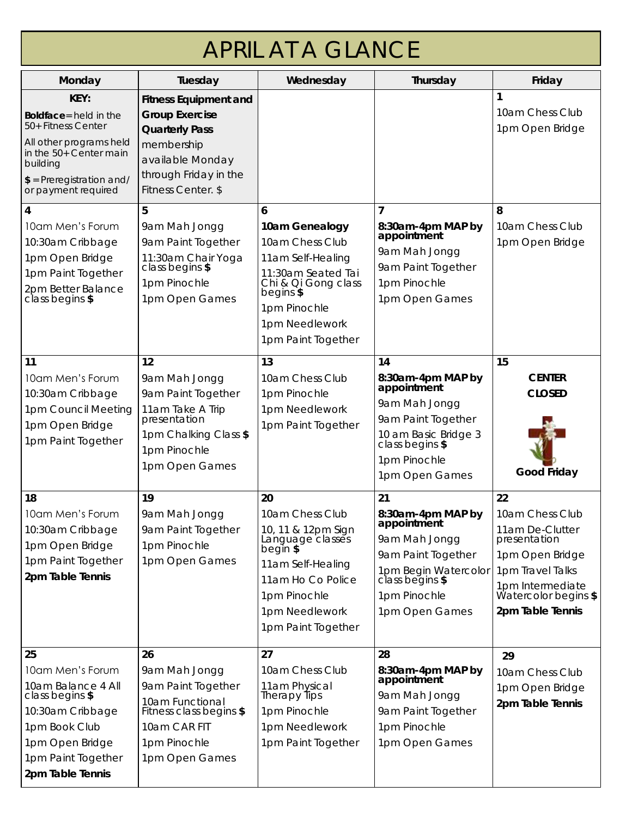| <b>APRIL AT A GLANCE</b>                                                                                                                                                  |                                                                                                                                                                 |                                                                                                                                                                               |                                                                                                                                                            |                                                                                                                                                                 |
|---------------------------------------------------------------------------------------------------------------------------------------------------------------------------|-----------------------------------------------------------------------------------------------------------------------------------------------------------------|-------------------------------------------------------------------------------------------------------------------------------------------------------------------------------|------------------------------------------------------------------------------------------------------------------------------------------------------------|-----------------------------------------------------------------------------------------------------------------------------------------------------------------|
| Monday                                                                                                                                                                    | Tuesday                                                                                                                                                         | Wednesday                                                                                                                                                                     | Thursday                                                                                                                                                   | Friday                                                                                                                                                          |
| KEY:<br>Boldface= held in the<br>50+ Fitness Center<br>All other programs held<br>in the 50+ Center main<br>building<br>$$ =$ Preregistration and/<br>or payment required | <b>Fitness Equipment and</b><br><b>Group Exercise</b><br><b>Quarterly Pass</b><br>membership<br>available Monday<br>through Friday in the<br>Fitness Center. \$ |                                                                                                                                                                               |                                                                                                                                                            | 10am Chess Club<br>1pm Open Bridge                                                                                                                              |
| $\overline{4}$<br>10am Men's Forum<br>10:30am Cribbage<br>1pm Open Bridge<br>1pm Paint Together<br>2pm Better Balance<br>class begins \$                                  | 5<br>9am Mah Jongg<br>9am Paint Together<br>11:30am Chair Yoga<br>class begins \$<br>1pm Pinochle<br>1pm Open Games                                             | 6<br>10am Genealogy<br>10am Chess Club<br>11am Self-Healing<br>11:30am Seated Tai<br>Chi & Qi Gong class<br>begins \$<br>1pm Pinochle<br>1pm Needlework<br>1pm Paint Together | 8:30am-4pm MAP by<br>appointment<br>9am Mah Jongg<br>9am Paint Together<br>1pm Pinochle<br>1pm Open Games                                                  | 8<br>10am Chess Club<br>1pm Open Bridge                                                                                                                         |
| 11<br>10am Men's Forum<br>10:30am Cribbage<br>1pm Council Meeting<br>1pm Open Bridge<br>1pm Paint Together                                                                | 12<br>9am Mah Jongg<br>9am Paint Together<br>11am Take A Trip<br>presentation<br>1pm Chalking Class \$<br>1pm Pinochle<br>1pm Open Games                        | 13<br>10am Chess Club<br>1pm Pinochle<br>1pm Needlework<br>1pm Paint Together                                                                                                 | 14<br>8:30am-4pm MAP by<br>appointment<br>9am Mah Jongg<br>9am Paint Together<br>10 am Basic Bridge 3<br>class begins \$<br>1pm Pinochle<br>1pm Open Games | 15<br><b>CENTER</b><br><b>CLOSED</b><br>Good Friday                                                                                                             |
| 18<br>10am Men's Forum<br>10:30am Cribbage<br>1pm Open Bridge<br>1pm Paint Together<br>2pm Table Tennis                                                                   | 19<br>9am Mah Jongg<br>9am Paint Together<br>1pm Pinochle<br>1pm Open Games                                                                                     | 20<br>10am Chess Club<br>10, 11 & 12pm Sign<br>Language classes<br>begin \$<br>11am Self-Healing<br>11am Ho Co Police<br>1pm Pinochle<br>1pm Needlework<br>1pm Paint Together | 21<br>8:30am-4pm MAP by<br>appointment<br>9am Mah Jongg<br>9am Paint Together<br>1pm Begin Watercolor<br>class begins \$<br>1pm Pinochle<br>1pm Open Games | 22<br>10am Chess Club<br>11am De-Clutter<br>presentation<br>1pm Open Bridge<br>1pm Travel Talks<br>1pm Intermediate<br>Watercolor begins \$<br>2pm Table Tennis |
| 25<br>10am Men's Forum<br>10am Balance 4 All<br>class begins \$<br>10:30am Cribbage<br>1pm Book Club<br>1pm Open Bridge                                                   | 26<br>9am Mah Jongg<br>9am Paint Together<br>10am Functional<br>Fitness class begins \$<br>10am CAR FIT<br>1pm Pinochle                                         | 27<br>10am Chess Club<br>11am Physical<br>Therapy Tips<br>1pm Pinochle<br>1pm Needlework<br>1pm Paint Together                                                                | 28<br>8:30am-4pm MAP by<br>appointment<br>9am Mah Jongg<br>9am Paint Together<br>1pm Pinochle<br>1pm Open Games                                            | 29<br>10am Chess Club<br>1pm Open Bridge<br>2pm Table Tennis                                                                                                    |

1pm Paint Together **2pm Table Tennis** 

1pm Open Games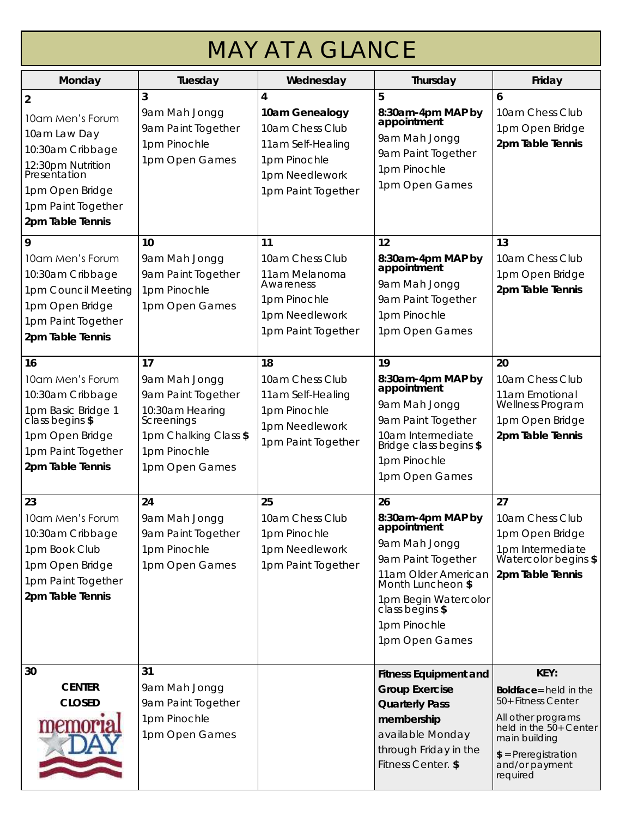| <b>MAY AT A GLANCE</b>                                                                                                                                                   |                                                                                                                                       |                                                                                                                     |                                                                                                                                                                                                        |                                                                                                                                                                             |
|--------------------------------------------------------------------------------------------------------------------------------------------------------------------------|---------------------------------------------------------------------------------------------------------------------------------------|---------------------------------------------------------------------------------------------------------------------|--------------------------------------------------------------------------------------------------------------------------------------------------------------------------------------------------------|-----------------------------------------------------------------------------------------------------------------------------------------------------------------------------|
| Monday                                                                                                                                                                   | Tuesday                                                                                                                               | Wednesday                                                                                                           | Thursday                                                                                                                                                                                               | Friday                                                                                                                                                                      |
| $\overline{2}$<br>10am Men's Forum<br>10am Law Day<br>10:30am Cribbage<br>12:30pm Nutrition<br>Presentation<br>1pm Open Bridge<br>1pm Paint Together<br>2pm Table Tennis | 3<br>9am Mah Jongg<br>9am Paint Together<br>1pm Pinochle<br>1pm Open Games                                                            | 4<br>10am Genealogy<br>10am Chess Club<br>11am Self-Healing<br>1pm Pinochle<br>1pm Needlework<br>1pm Paint Together | 5<br>8:30am-4pm MAP by<br>appointment<br>9am Mah Jongg<br>9am Paint Together<br>1pm Pinochle<br>1pm Open Games                                                                                         | 6<br>10am Chess Club<br>1pm Open Bridge<br>2pm Table Tennis                                                                                                                 |
| 9<br>10am Men's Forum<br>10:30am Cribbage<br>1pm Council Meeting<br>1pm Open Bridge<br>1pm Paint Together<br>2pm Table Tennis                                            | 10<br>9am Mah Jongg<br>9am Paint Together<br>1pm Pinochle<br>1pm Open Games                                                           | 11<br>10am Chess Club<br>11am Melanoma<br>Awareness<br>1pm Pinochle<br>1pm Needlework<br>1pm Paint Together         | 12<br>8:30am-4pm MAP by<br>appointment<br>9am Mah Jongg<br>9am Paint Together<br>1pm Pinochle<br>1pm Open Games                                                                                        | 13<br>10am Chess Club<br>1pm Open Bridge<br>2pm Table Tennis                                                                                                                |
| 16<br>10am Men's Forum<br>10:30am Cribbage<br>1pm Basic Bridge 1<br>class begins \$<br>1pm Open Bridge<br>1pm Paint Together<br>2pm Table Tennis                         | 17<br>9am Mah Jongg<br>9am Paint Together<br>10:30am Hearing<br>Screenings<br>1pm Chalking Class \$<br>1pm Pinochle<br>1pm Open Games | 18<br>10am Chess Club<br>11am Self-Healing<br>1pm Pinochle<br>1pm Needlework<br>1pm Paint Together                  | 19<br>8:30am-4pm MAP by<br>appointment<br>9am Mah Jongg<br>9am Paint Together<br>10am Intermediate<br>Bridge class begins \$<br>1pm Pinochle<br>1pm Open Games                                         | 20<br>10am Chess Club<br>11am Emotional<br>Wellness Program<br>1pm Open Bridge<br>2pm Table Tennis                                                                          |
| 23<br>10am Men's Forum<br>10:30am Cribbage<br>1pm Book Club<br>1pm Open Bridge<br>1pm Paint Together<br>2pm Table Tennis                                                 | 24<br>9am Mah Jongg<br>9am Paint Together<br>1pm Pinochle<br>1pm Open Games                                                           | 25<br>10am Chess Club<br>1pm Pinochle<br>1pm Needlework<br>1pm Paint Together                                       | 26<br>8:30am-4pm MAP by<br>appointment<br>9am Mah Jongg<br>9am Paint Together<br>11am Older American<br>Month Luncheon \$<br>1pm Begin Watercolor<br>class begins \$<br>1pm Pinochle<br>1pm Open Games | 27<br>10am Chess Club<br>1pm Open Bridge<br>1pm Intermediate<br>Watercolor begins \$<br>2pm Table Tennis                                                                    |
| 30<br><b>CENTER</b><br><b>CLOSED</b><br>memo                                                                                                                             | 31<br>9am Mah Jongg<br>9am Paint Together<br>1pm Pinochle<br>1pm Open Games                                                           |                                                                                                                     | Fitness Equipment and<br>Group Exercise<br><b>Quarterly Pass</b><br>membership<br>available Monday<br>through Friday in the<br>Fitness Center. \$                                                      | KEY:<br>Boldface= held in the<br>50+ Fitness Center<br>All other programs<br>held in the 50+ Center<br>main building<br>$$ =$ Preregistration<br>and/or payment<br>required |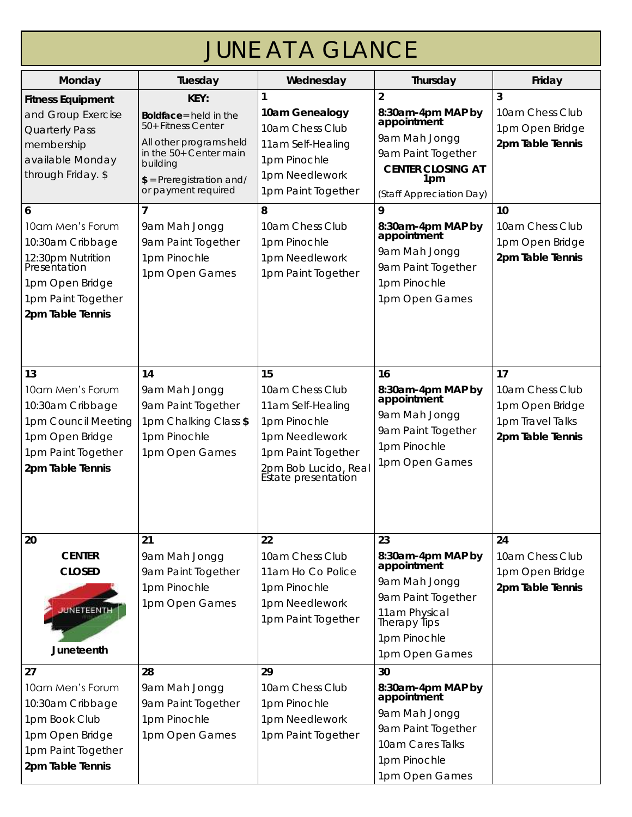| <b>JUNE AT A GLANCE</b>                                                                                                                     |                                                                                                                                                                           |                                                                                                                                                   |                                                                                                                                                   |                                                                                  |
|---------------------------------------------------------------------------------------------------------------------------------------------|---------------------------------------------------------------------------------------------------------------------------------------------------------------------------|---------------------------------------------------------------------------------------------------------------------------------------------------|---------------------------------------------------------------------------------------------------------------------------------------------------|----------------------------------------------------------------------------------|
| Monday                                                                                                                                      | Tuesday                                                                                                                                                                   | Wednesday                                                                                                                                         | Thursday                                                                                                                                          | Friday                                                                           |
| <b>Fitness Equipment</b><br>and Group Exercise<br><b>Quarterly Pass</b><br>membership<br>available Monday<br>through Friday. \$             | KFY:<br>Boldface= held in the<br>50+ Fitness Center<br>All other programs held<br>in the 50+ Center main<br>building<br>$$ =$ Preregistration and/<br>or payment required | 10am Genealogy<br>10am Chess Club<br>11am Self-Healing<br>1pm Pinochle<br>1pm Needlework<br>1pm Paint Together                                    | $\overline{2}$<br>8:30am-4pm MAP by<br>appointment<br>9am Mah Jongg<br>9am Paint Together<br>CENTER CLOSING AT<br>1pm<br>(Staff Appreciation Day) | 3<br>10am Chess Club<br>1pm Open Bridge<br>2pm Table Tennis                      |
| 6<br>10am Men's Forum<br>10:30am Cribbage<br>12:30pm Nutrition<br>Presentation<br>1pm Open Bridge<br>1pm Paint Together<br>2pm Table Tennis | 9am Mah Jongg<br>9am Paint Together<br>1pm Pinochle<br>1pm Open Games                                                                                                     | 8<br>10am Chess Club<br>1pm Pinochle<br>1pm Needlework<br>1pm Paint Together                                                                      | 9<br>8:30am-4pm MAP by<br>appointment<br>9am Mah Jongg<br>9am Paint Together<br>1pm Pinochle<br>1pm Open Games                                    | 10<br>10am Chess Club<br>1pm Open Bridge<br>2pm Table Tennis                     |
| 13<br>10am Men's Forum<br>10:30am Cribbage<br>1pm Council Meeting<br>1pm Open Bridge<br>1pm Paint Together<br>2pm Table Tennis              | 14<br>9am Mah Jongg<br>9am Paint Together<br>1pm Chalking Class \$<br>1pm Pinochle<br>1pm Open Games                                                                      | 15<br>10am Chess Club<br>11am Self-Healing<br>1pm Pinochle<br>1pm Needlework<br>1pm Paint Together<br>2pm Bob Lucido, Real<br>Estate presentation | 16<br>8:30am-4pm MAP by<br>appointment<br>9am Mah Jongg<br>9am Paint Together<br>1pm Pinochle<br>1pm Open Games                                   | 17<br>10am Chess Club<br>1pm Open Bridge<br>1pm Travel Talks<br>2pm Table Tennis |
| 20<br><b>CENTER</b><br><b>CLOSED</b><br><b>JUNETEENTH</b><br>Juneteenth                                                                     | 21<br>9am Mah Jongg<br>9am Paint Together<br>1pm Pinochle<br>1pm Open Games                                                                                               | 22<br>10am Chess Club<br>11am Ho Co Police<br>1pm Pinochle<br>1pm Needlework<br>1pm Paint Together                                                | 23<br>8:30am-4pm MAP by<br>appointment<br>9am Mah Jongg<br>9am Paint Together<br>11am Physical<br>Therapy Tips<br>1pm Pinochle<br>1pm Open Games  | 24<br>10am Chess Club<br>1pm Open Bridge<br>2pm Table Tennis                     |
| 27<br>10am Men's Forum<br>10:30am Cribbage<br>1pm Book Club<br>1pm Open Bridge<br>1pm Paint Together<br>2pm Table Tennis                    | 28<br>9am Mah Jongg<br>9am Paint Together<br>1pm Pinochle<br>1pm Open Games                                                                                               | 29<br>10am Chess Club<br>1pm Pinochle<br>1pm Needlework<br>1pm Paint Together                                                                     | 30<br>8:30am-4pm MAP by<br>appointment<br>9am Mah Jongg<br>9am Paint Together<br>10am Cares Talks<br>1pm Pinochle<br>1pm Open Games               |                                                                                  |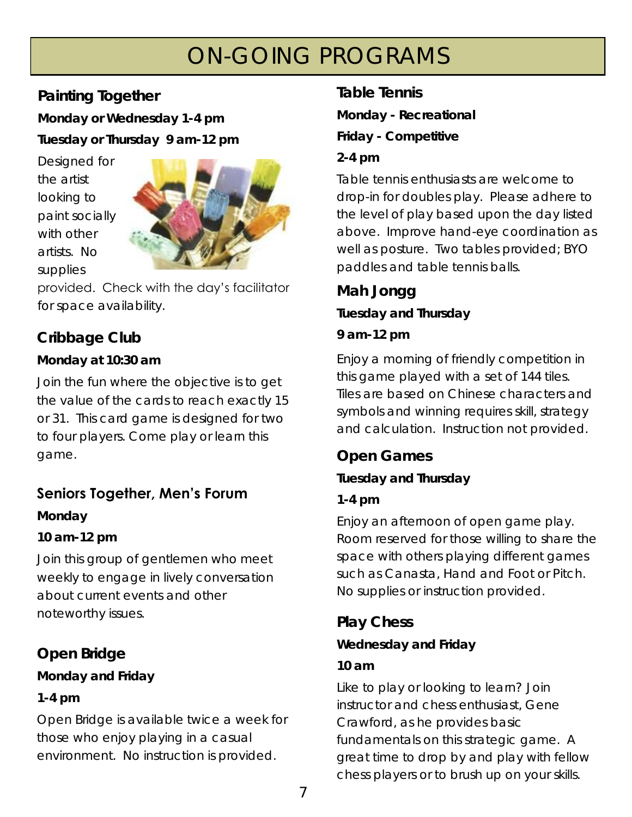# ON-GOING PROGRAMS

#### **Painting Together**

**Monday or Wednesday 1-4 pm Tuesday or Thursday 9 am-12 pm** 

Designed for the artist looking to paint socially with other artists. No supplies



provided. Check with the day's facilitator for space availability.

#### **Cribbage Club**

**Monday at 10:30 am** 

Join the fun where the objective is to get the value of the cards to reach exactly 15 or 31. This card game is designed for two to four players. Come play or learn this game.

## **Seniors Together, Men's Forum**

**Monday** 

**10 am-12 pm** 

Join this group of gentlemen who meet weekly to engage in lively conversation about current events and other noteworthy issues.

**Open Bridge Monday and Friday 1-4 pm** 

Open Bridge is available twice a week for those who enjoy playing in a casual environment. No instruction is provided.

**Table Tennis Monday - Recreational Friday - Competitive** 

**2-4 pm** 

Table tennis enthusiasts are welcome to drop-in for doubles play. Please adhere to the level of play based upon the day listed above. Improve hand-eye coordination as well as posture. Two tables provided; BYO paddles and table tennis balls.

**Mah Jongg** 

**Tuesday and Thursday**

**9 am-12 pm** 

Enjoy a morning of friendly competition in this game played with a set of 144 tiles. Tiles are based on Chinese characters and symbols and winning requires skill, strategy and calculation. Instruction not provided.

**Open Games** 

**Tuesday and Thursday**

**1-4 pm** 

Enjoy an afternoon of open game play. Room reserved for those willing to share the space with others playing different games such as Canasta, Hand and Foot or Pitch. No supplies or instruction provided.

**Play Chess**

**Wednesday and Friday**

#### **10 am**

Like to play or looking to learn? Join instructor and chess enthusiast, Gene Crawford, as he provides basic fundamentals on this strategic game. A great time to drop by and play with fellow chess players or to brush up on your skills.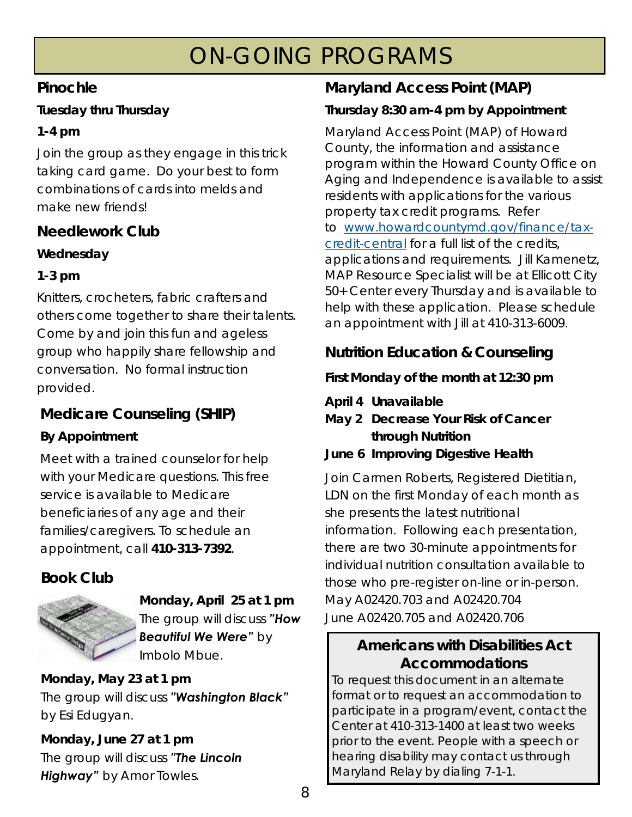# ON-GOING PROGRAMS

#### **Pinochle**

**Tuesday thru Thursday** 

#### **1-4 pm**

Join the group as they engage in this trick taking card game. Do your best to form combinations of cards into melds and make new friends!

#### **Needlework Club**

**Wednesday** 

#### **1-3 pm**

Knitters, crocheters, fabric crafters and others come together to share their talents. Come by and join this fun and ageless group who happily share fellowship and conversation. No formal instruction provided.

## **Medicare Counseling (SHIP)**

#### **By Appointment**

Meet with a trained counselor for help with your Medicare questions. This free service is available to Medicare beneficiaries of any age and their families/caregivers. To schedule an appointment, call **410-313-7392**.

## **Book Club**



**Monday, April 25 at 1 pm**  The group will discuss *"How Beautiful We Were"* by Imbolo Mbue.

**Monday, May 23 at 1 pm**  The group will discuss *"Washington Black"*  by Esi Edugyan.

**Monday, June 27 at 1 pm**  The group will discuss *"The Lincoln Highway"* by Amor Towles.

## **Maryland Access Point (MAP)**

#### **Thursday 8:30 am-4 pm by Appointment**

Maryland Access Point (MAP) of Howard County, the information and assistance program within the Howard County Office on Aging and Independence is available to assist residents with applications for the various property tax credit programs. Refer to [www.howardcountymd.gov/finance/tax](https://gcc02.safelinks.protection.outlook.com/?url=https%3A%2F%2Fwww.howardcountymd.gov%2Ffinance%2Ftax-credit-central&data=04%7C01%7Ccsaathoff%40howardcountymd.gov%7Cde272e8a87834346ed1808d9fdf1296f%7C0538130803664bb7a95b95304bd11a58%7C1%7C0%7C6378200344886)[credit-central](https://gcc02.safelinks.protection.outlook.com/?url=https%3A%2F%2Fwww.howardcountymd.gov%2Ffinance%2Ftax-credit-central&data=04%7C01%7Ccsaathoff%40howardcountymd.gov%7Cde272e8a87834346ed1808d9fdf1296f%7C0538130803664bb7a95b95304bd11a58%7C1%7C0%7C6378200344886) for a full list of the credits, applications and requirements. Jill Kamenetz, MAP Resource Specialist will be at Ellicott City 50+ Center every Thursday and is available to help with these application. Please schedule an appointment with Jill at 410-313-6009.

#### **Nutrition Education & Counseling**

**First Monday of the month at 12:30 pm** 

- **April 4 Unavailable**
- **May 2 Decrease Your Risk of Cancer through Nutrition**

**June 6 Improving Digestive Health**

Join Carmen Roberts, Registered Dietitian, LDN on the first Monday of each month as she presents the latest nutritional information. Following each presentation, there are two 30-minute appointments for individual nutrition consultation available to those who pre-register on-line or in-person. May A02420.703 and A02420.704 June A02420.705 and A02420.706

**Americans with Disabilities Act Accommodations** To request this document in an alternate format or to request an accommodation to participate in a program/event, contact the Center at 410-313-1400 at least two weeks prior to the event. People with a speech or hearing disability may contact us through Maryland Relay by dialing 7-1-1.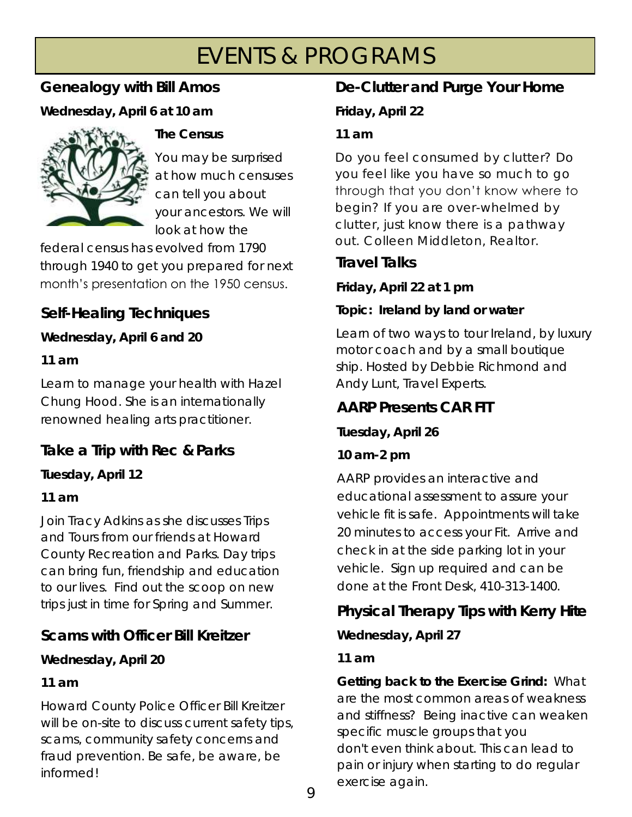# EVENTS & PROGRAMS

#### **Genealogy with Bill Amos**

**Wednesday, April 6 at 10 am**



**The Census**

You may be surprised at how much censuses can tell you about your ancestors. We will look at how the

federal census has evolved from 1790 through 1940 to get you prepared for next month's presentation on the 1950 census.

**Self-Healing Techniques** 

**Wednesday, April 6 and 20**

**11 am**

Learn to manage your health with Hazel Chung Hood. She is an internationally renowned healing arts practitioner.

**Take a Trip with Rec & Parks** 

**Tuesday, April 12**

**11 am**

Join Tracy Adkins as she discusses Trips and Tours from our friends at Howard County Recreation and Parks. Day trips can bring fun, friendship and education to our lives. Find out the scoop on new trips just in time for Spring and Summer.

#### **Scams with Officer Bill Kreitzer**

**Wednesday, April 20**

#### **11 am**

Howard County Police Officer Bill Kreitzer will be on-site to discuss current safety tips, scams, community safety concerns and fraud prevention. Be safe, be aware, be informed!

## **De-Clutter and Purge Your Home**

**Friday, April 22**

#### **11 am**

Do you feel consumed by clutter? Do you feel like you have so much to go through that you don't know where to begin? If you are over-whelmed by clutter, just know there is a pathway out. Colleen Middleton, Realtor.

#### **Travel Talks**

**Friday, April 22 at 1 pm**

**Topic: Ireland by land or water**

Learn of two ways to tour Ireland, by luxury motor coach and by a small boutique ship. Hosted by Debbie Richmond and Andy Lunt, Travel Experts.

#### **AARP Presents CAR FIT**

**Tuesday, April 26** 

**10 am-2 pm**

AARP provides an interactive and educational assessment to assure your vehicle fit is safe. Appointments will take 20 minutes to access your Fit. Arrive and check in at the side parking lot in your vehicle. Sign up required and can be done at the Front Desk, 410-313-1400.

**Physical Therapy Tips with Kerry Hite**

**Wednesday, April 27** 

#### **11 am**

**Getting back to the Exercise Grind:** What are the most common areas of weakness and stiffness? Being inactive can weaken specific muscle groups that you don't even think about. This can lead to pain or injury when starting to do regular exercise again.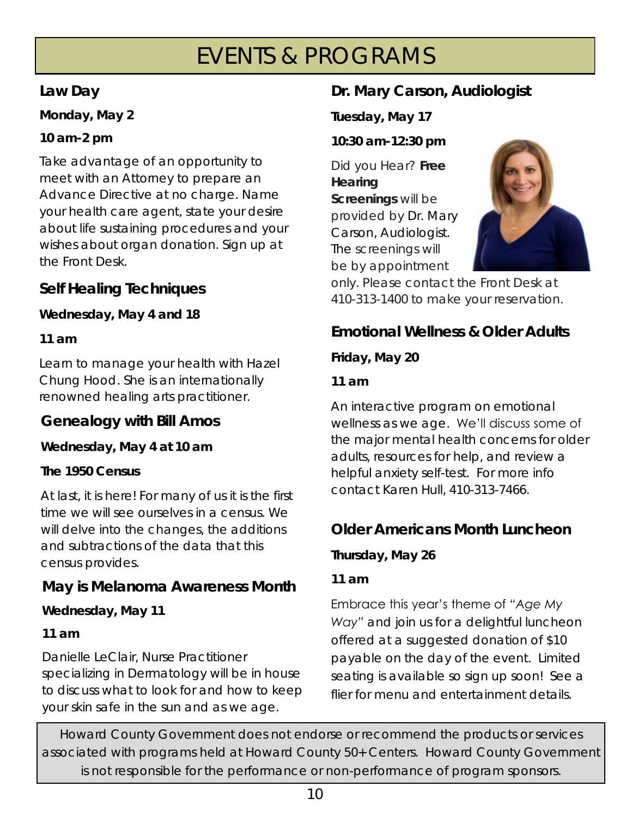# EVENTS & PROGRAMS

#### **Law Day**

**Monday, May 2**

**10 am-2 pm**

Take advantage of an opportunity to meet with an Attorney to prepare an Advance Directive at no charge. Name your health care agent, state your desire about life sustaining procedures and your wishes about organ donation. Sign up at the Front Desk.

## **Self Healing Techniques**

**Wednesday, May 4 and 18**

**11 am**

Learn to manage your health with Hazel Chung Hood. She is an internationally renowned healing arts practitioner.

**Genealogy with Bill Amos** 

**Wednesday, May 4 at 10 am**

**The 1950 Census**

At last, it is here! For many of us it is the first time we will see ourselves in a census. We will delve into the changes, the additions and subtractions of the data that this census provides.

## **May is Melanoma Awareness Month**

**Wednesday, May 11**

**11 am**

Danielle LeClair, Nurse Practitioner specializing in Dermatology will be in house to discuss what to look for and how to keep your skin safe in the sun and as we age.

## **Dr. Mary Carson, Audiologist**

**Tuesday, May 17** 

**10:30 am-12:30 pm**

Did you Hear? **Free Hearing Screenings** will be provided by Dr. Mary Carson, Audiologist. The screenings will be by appointment



only. Please contact the Front Desk at 410-313-1400 to make your reservation.

**Emotional Wellness & Older Adults**

**Friday, May 20**

**11 am**

An interactive program on emotional wellness as we age. We'll discuss some of the major mental health concerns for older adults, resources for help, and review a helpful anxiety self-test. For more info contact Karen Hull, 410-313-7466.

## **Older Americans Month Luncheon**

**Thursday, May 26**

**11 am**

Embrace this year's theme of *"Age My Way"* and join us for a delightful luncheon offered at a suggested donation of \$10 payable on the day of the event. Limited seating is available so sign up soon! See a flier for menu and entertainment details.

Howard County Government does not endorse or recommend the products or services associated with programs held at Howard County 50+ Centers. Howard County Government is not responsible for the performance or non-performance of program sponsors.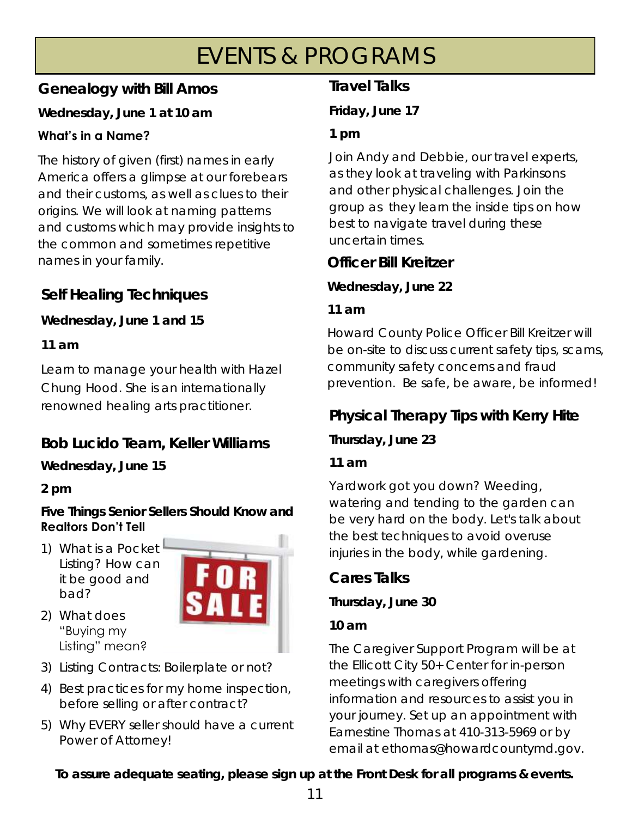# EVENTS & PROGRAMS

#### **Genealogy with Bill Amos**

**Wednesday, June 1 at 10 am**

#### **What's in a Name?**

The history of given (first) names in early America offers a glimpse at our forebears and their customs, as well as clues to their origins. We will look at naming patterns and customs which may provide insights to the common and sometimes repetitive names in your family. **Officer Bill Kreitzer** 

## **Self Healing Techniques**

**Wednesday, June 1 and 15** 

**11 am**

Learn to manage your health with Hazel Chung Hood. She is an internationally

# **Bob Lucido Team, Keller Williams**

**Wednesday, June 15** 

**2 pm**

**Five Things Senior Sellers Should Know and Realtors Don't Tell**

1) What is a Pocket Listing? How can it be good and bad?

2) What does "Buying my



- Listing" mean? 3) Listing Contracts: Boilerplate or not?
- 4) Best practices for my home inspection, before selling or after contract?
- 5) Why EVERY seller should have a current Power of Attorney!

## **Travel Talks**

**Friday, June 17** 

**1 pm**

Join Andy and Debbie, our travel experts, as they look at traveling with Parkinsons and other physical challenges. Join the group as they learn the inside tips on how best to navigate travel during these uncertain times.

**Wednesday, June 22** 

**11 am**

Howard County Police Officer Bill Kreitzer will be on-site to discuss current safety tips, scams, community safety concerns and fraud prevention. Be safe, be aware, be informed!

# renowned healing arts practitioner. **Physical Therapy Tips with Kerry Hite**

**Thursday, June 23**

**11 am**

Yardwork got you down? Weeding, watering and tending to the garden can be very hard on the body. Let's talk about the best techniques to avoid overuse injuries in the body, while gardening.

**Cares Talks**

**Thursday, June 30** 

**10 am**

The Caregiver Support Program will be at the Ellicott City 50+ Center for in-person meetings with caregivers offering information and resources to assist you in your journey. Set up an appointment with Earnestine Thomas at 410-313-5969 or by email at ethomas@howardcountymd.gov.

**To assure adequate seating, please sign up at the Front Desk for all programs & events.**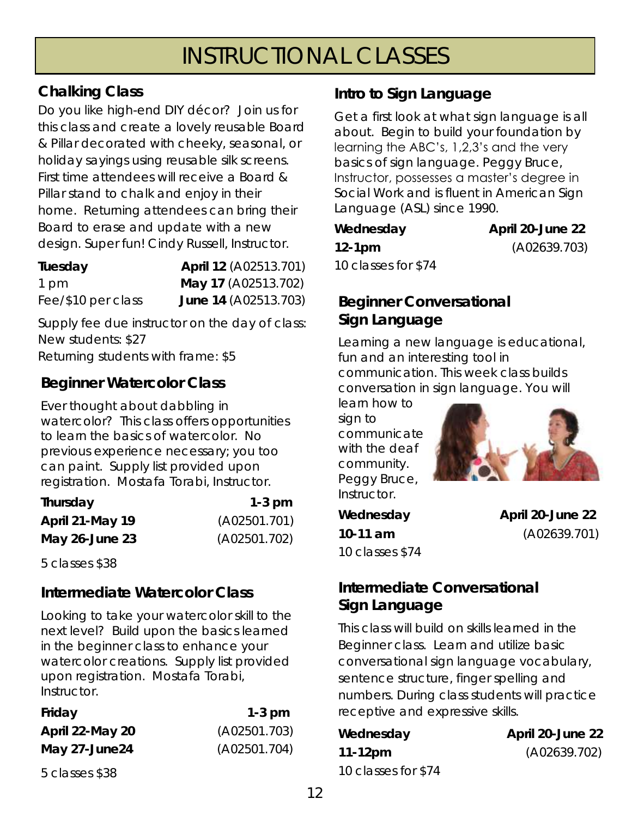# INSTRUCTIONAL CLASSES

#### **Chalking Class**

Do you like high-end DIY décor? Join us for this class and create a lovely reusable Board & Pillar decorated with cheeky, seasonal, or holiday sayings using reusable silk screens. First time attendees will receive a Board & Pillar stand to chalk and enjoy in their home. Returning attendees can bring their Board to erase and update with a new design. Super fun! Cindy Russell, Instructor.

| Tuesday            | April 12 (A02513.701) |
|--------------------|-----------------------|
| 1 pm               | May 17 (A02513.702)   |
| Fee/\$10 per class | June 14 (A02513.703)  |

Supply fee due instructor on the day of class: New students: \$27 Returning students with frame: \$5

#### **Beginner Watercolor Class**

Ever thought about dabbling in watercolor? This class offers opportunities to learn the basics of watercolor. No previous experience necessary; you too can paint. Supply list provided upon registration. Mostafa Torabi, Instructor.

| Thursday            | $1-3$ pm     |
|---------------------|--------------|
| April 21-May 19     | (A02501.701) |
| May $26$ -June $23$ | (A02501.702) |

5 classes \$38

#### **Intermediate Watercolor Class**

Looking to take your watercolor skill to the next level? Build upon the basics learned in the beginner class to enhance your watercolor creations. Supply list provided upon registration. Mostafa Torabi, Instructor.

| Friday          | $1-3$ pm     |
|-----------------|--------------|
| April 22-May 20 | (A02501.703) |
| May 27-June24   | (A02501.704) |

5 classes \$38

#### **Intro to Sign Language**

Get a first look at what sign language is all about. Begin to build your foundation by learning the ABC's, 1,2,3's and the very basics of sign language. Peggy Bruce, Instructor, possesses a master's degree in Social Work and is fluent in American Sign Language (ASL) since 1990.

| Wednesday           |  |
|---------------------|--|
| 12-1pm              |  |
| 10 classes for \$74 |  |

**April 20-June 22 12-1pm** (A02639.703)

#### **Beginner Conversational Sign Language**

Learning a new language is educational, fun and an interesting tool in communication. This week class builds conversation in sign language. You will

learn how to sign to communicate with the deaf community. Peggy Bruce, Instructor.



10 classes \$74

**Wednesday April 20-June 22 10-11 am** (A02639.701)

#### **Intermediate Conversational Sign Language**

This class will build on skills learned in the Beginner class. Learn and utilize basic conversational sign language vocabulary, sentence structure, finger spelling and numbers. During class students will practice receptive and expressive skills.

| Wednesday           | April 20-June 22 |
|---------------------|------------------|
| 11-12pm             | (A02639.702)     |
| 10 classes for \$74 |                  |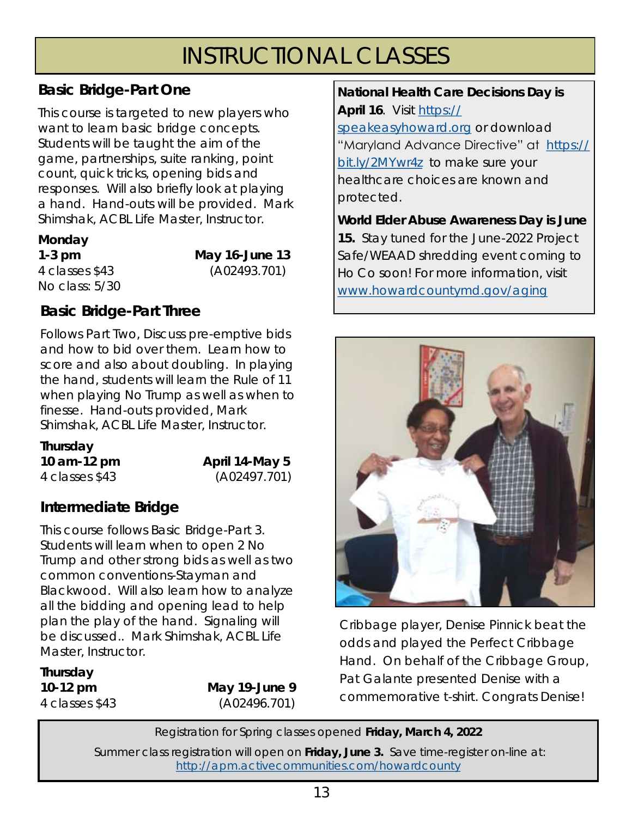# INSTRUCTIONAL CLASSES

#### **Basic Bridge-Part One**

This course is targeted to new players who want to learn basic bridge concepts. Students will be taught the aim of the game, partnerships, suite ranking, point count, quick tricks, opening bids and responses. Will also briefly look at playing a hand. Hand-outs will be provided. Mark Shimshak, ACBL Life Master, Instructor.

#### **Monday**

No class: 5/30

**1-3 pm May 16-June 13**  4 classes \$43 (A02493.701)

#### **Basic Bridge-Part Three**

Follows Part Two, Discuss pre-emptive bids and how to bid over them. Learn how to score and also about doubling. In playing the hand, students will learn the Rule of 11 when playing No Trump as well as when to finesse. Hand-outs provided, Mark Shimshak, ACBL Life Master, Instructor.

**Thursday 10 am-12 pm April 14-May 5** 

4 classes \$43 (A02497.701)

## **Intermediate Bridge**

This course follows Basic Bridge-Part 3. Students will learn when to open 2 No Trump and other strong bids as well as two common conventions-Stayman and Blackwood. Will also learn how to analyze all the bidding and opening lead to help plan the play of the hand. Signaling will be discussed.. Mark Shimshak, ACBL Life Master, Instructor.

**Thursday** 

**10-12 pm May 19-June 9**  4 classes \$43 (A02496.701) **National Health Care Decisions Day is April 16**. Visit [https://](https://gcc02.safelinks.protection.outlook.com/?url=https%3A%2F%2Fspeakeasyhoward.org%2F&data=04%7C01%7Ccsaathoff%40howardcountymd.gov%7Cc6c2ec0047de4cebe1fa08da012bc9bd%7C0538130803664bb7a95b95304bd11a58%7C1%7C0%7C637823584826268932%7CUnknown%7CTWFpbGZsb3d8e)

[speakeasyhoward.org](https://gcc02.safelinks.protection.outlook.com/?url=https%3A%2F%2Fspeakeasyhoward.org%2F&data=04%7C01%7Ccsaathoff%40howardcountymd.gov%7Cc6c2ec0047de4cebe1fa08da012bc9bd%7C0538130803664bb7a95b95304bd11a58%7C1%7C0%7C637823584826268932%7CUnknown%7CTWFpbGZsb3d8e) or download "Maryland Advance Directive" at [https://](https://gcc02.safelinks.protection.outlook.com/?url=https%3A%2F%2Fbit.ly%2F2MYwr4z&data=04%7C01%7Ccsaathoff%40howardcountymd.gov%7Cc6c2ec0047de4cebe1fa08da012bc9bd%7C0538130803664bb7a95b95304bd11a58%7C1%7C0%7C637823584826268932%7CUnknown%7CTWFpbGZsb3d8eyJWIjo) [bit.ly/2MYwr4z](https://gcc02.safelinks.protection.outlook.com/?url=https%3A%2F%2Fbit.ly%2F2MYwr4z&data=04%7C01%7Ccsaathoff%40howardcountymd.gov%7Cc6c2ec0047de4cebe1fa08da012bc9bd%7C0538130803664bb7a95b95304bd11a58%7C1%7C0%7C637823584826268932%7CUnknown%7CTWFpbGZsb3d8eyJWIjo) to make sure your healthcare choices are known and protected.

**World Elder Abuse Awareness Day is June 15.** Stay tuned for the June-2022 Project Safe/WEAAD shredding event coming to Ho Co soon! For more information, visit [www.howardcountymd.gov/aging](https://gcc02.safelinks.protection.outlook.com/?url=http%3A%2F%2Fwww.howardcountymd.gov%2Faging&data=04%7C01%7Ccsaathoff%40howardcountymd.gov%7Cde387553ca234444596208d9fe2c3b21%7C0538130803664bb7a95b95304bd11a58%7C1%7C0%7C637820288182410088%7CUnknown%7CTWFpbG)



*Cribbage player, Denise Pinnick beat the odds and played the Perfect Cribbage Hand. On behalf of the Cribbage Group, Pat Galante presented Denise with a commemorative t-shirt. Congrats Denise!*

Registration for Spring classes opened **Friday, March 4, 2022** 

Summer class registration will open on **Friday, June 3.** Save time-register on-line at: <http://apm.activecommunities.com/howardcounty>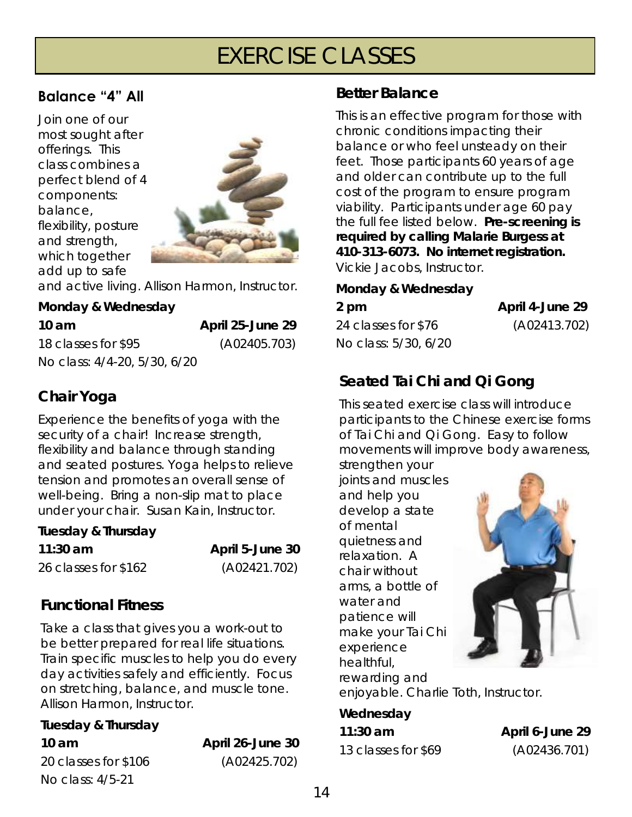# EXERCISE CLASSES

#### **Balance "4" All**

Join one of our most sought after offerings. This class combines a perfect blend of 4 components: balance, flexibility, posture and strength, which together add up to safe



and active living. Allison Harmon, Instructor.

**Monday & Wednesday** 

**10 am April 25-June 29**  18 classes for \$95 (A02405.703) No class: 4/4-20, 5/30, 6/20

## **Chair Yoga**

Experience the benefits of yoga with the security of a chair! Increase strength, flexibility and balance through standing and seated postures. Yoga helps to relieve tension and promotes an overall sense of well-being. Bring a non-slip mat to place under your chair. Susan Kain, Instructor.

**Tuesday & Thursday** 

**11:30 am April 5-June 30**  26 classes for \$162 (A02421.702)

#### **Functional Fitness**

Take a class that gives you a work-out to be better prepared for real life situations. Train specific muscles to help you do every day activities safely and efficiently. Focus on stretching, balance, and muscle tone. Allison Harmon, Instructor.

| Tuesday & Thursday   |                  |
|----------------------|------------------|
| 10 am                | April 26-June 30 |
| 20 classes for \$106 | (A02425.702)     |
| No class: 4/5-21     |                  |

#### **Better Balance**

This is an effective program for those with chronic conditions impacting their balance or who feel unsteady on their feet. Those participants 60 years of age and older can contribute up to the full cost of the program to ensure program viability. Participants under age 60 pay the full fee listed below. **Pre-screening is required by calling Malarie Burgess at 410-313-6073. No internet registration.**  Vickie Jacobs, Instructor.

#### **Monday & Wednesday**

**2 pm April 4-June 29**  24 classes for \$76 (A02413.702) No class: 5/30, 6/20

## **Seated Tai Chi and Qi Gong**

This seated exercise class will introduce participants to the Chinese exercise forms of Tai Chi and Qi Gong. Easy to follow movements will improve body awareness,

strengthen your joints and muscles and help you develop a state of mental quietness and relaxation. A chair without arms, a bottle of water and patience will make your Tai Chi experience healthful, rewarding and



enjoyable. Charlie Toth, Instructor.

**Wednesday 11:30 am April 6-June 29**  13 classes for \$69 (A02436.701)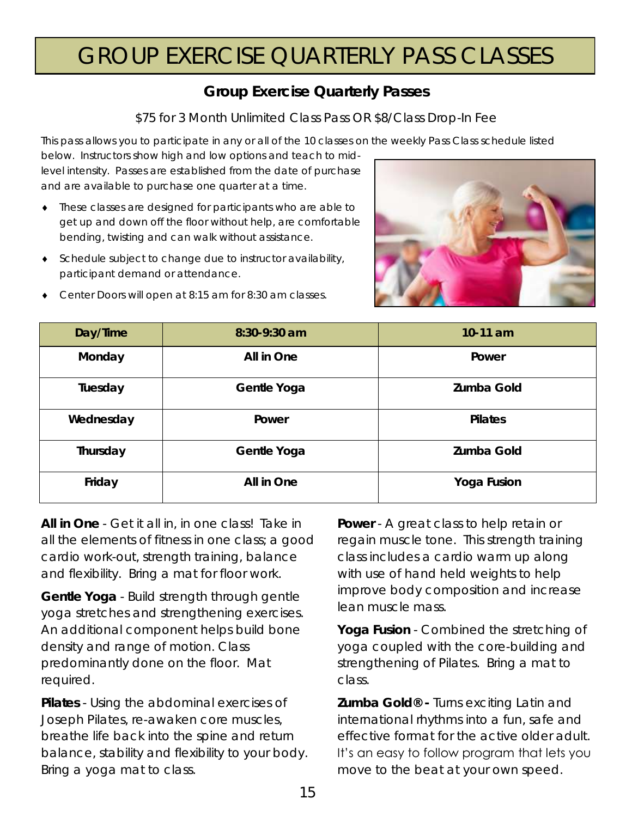# GROUP EXERCISE QUARTERLY PASS CLASSES

#### **Group Exercise Quarterly Passes**

\$75 for 3 Month Unlimited Class Pass OR \$8/Class Drop-In Fee

This pass allows you to participate in any or all of the 10 classes on the weekly Pass Class schedule listed

below. Instructors show high and low options and teach to midlevel intensity. Passes are established from the date of purchase and are available to purchase one quarter at a time.

- These classes are designed for participants who are able to get up and down off the floor without help, are comfortable bending, twisting and can walk without assistance.
- Schedule subject to change due to instructor availability, participant demand or attendance.



Center Doors will open at 8:15 am for 8:30 am classes.

| Day/Time  | 8:30-9:30 am | $10-11$ am  |
|-----------|--------------|-------------|
| Monday    | All in One   | Power       |
| Tuesday   | Gentle Yoga  | Zumba Gold  |
| Wednesday | Power        | Pilates     |
| Thursday  | Gentle Yoga  | Zumba Gold  |
| Friday    | All in One   | Yoga Fusion |

**All in One** - Get it all in, in one class! Take in all the elements of fitness in one class; a good cardio work-out, strength training, balance and flexibility. Bring a mat for floor work.

**Gentle Yoga** - Build strength through gentle yoga stretches and strengthening exercises. An additional component helps build bone density and range of motion. Class predominantly done on the floor. Mat required.

**Pilates** - Using the abdominal exercises of Joseph Pilates, re-awaken core muscles, breathe life back into the spine and return balance, stability and flexibility to your body. Bring a yoga mat to class.

**Power** - A great class to help retain or regain muscle tone. This strength training class includes a cardio warm up along with use of hand held weights to help improve body composition and increase lean muscle mass.

**Yoga Fusion** - Combined the stretching of yoga coupled with the core-building and strengthening of Pilates. Bring a mat to class.

**Zumba Gold® -** Turns exciting Latin and international rhythms into a fun, safe and effective format for the active older adult. It's an easy to follow program that lets you move to the beat at your own speed.